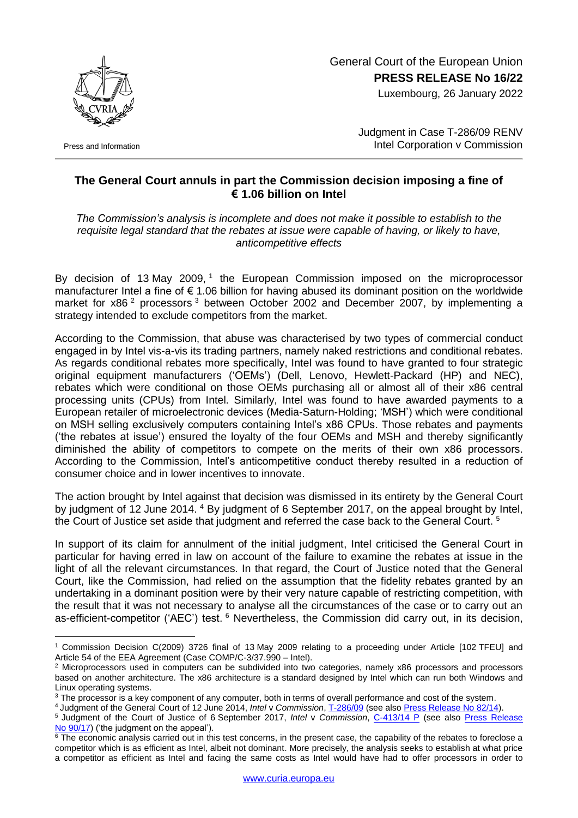General Court of the European Union **PRESS RELEASE No 16/22**

Luxembourg, 26 January 2022



Press and Information

Judgment in Case T-286/09 RENV Intel Corporation v Commission

## **The General Court annuls in part the Commission decision imposing a fine of € 1.06 billion on Intel**

*The Commission's analysis is incomplete and does not make it possible to establish to the requisite legal standard that the rebates at issue were capable of having, or likely to have, anticompetitive effects*

By decision of 13 May 2009,<sup>1</sup> the European Commission imposed on the microprocessor manufacturer Intel a fine of € 1.06 billion for having abused its dominant position on the worldwide market for x86<sup>2</sup> processors<sup>3</sup> between October 2002 and December 2007, by implementing a strategy intended to exclude competitors from the market.

According to the Commission, that abuse was characterised by two types of commercial conduct engaged in by Intel vis-a-vis its trading partners, namely naked restrictions and conditional rebates. As regards conditional rebates more specifically, Intel was found to have granted to four strategic original equipment manufacturers ('OEMs') (Dell, Lenovo, Hewlett-Packard (HP) and NEC), rebates which were conditional on those OEMs purchasing all or almost all of their x86 central processing units (CPUs) from Intel. Similarly, Intel was found to have awarded payments to a European retailer of microelectronic devices (Media-Saturn-Holding; 'MSH') which were conditional on MSH selling exclusively computers containing Intel's x86 CPUs. Those rebates and payments ('the rebates at issue') ensured the loyalty of the four OEMs and MSH and thereby significantly diminished the ability of competitors to compete on the merits of their own x86 processors. According to the Commission, Intel's anticompetitive conduct thereby resulted in a reduction of consumer choice and in lower incentives to innovate.

The action brought by Intel against that decision was dismissed in its entirety by the General Court by judgment of 12 June 2014. <sup>4</sup> By judgment of 6 September 2017, on the appeal brought by Intel, the Court of Justice set aside that judgment and referred the case back to the General Court.<sup>5</sup>

In support of its claim for annulment of the initial judgment, Intel criticised the General Court in particular for having erred in law on account of the failure to examine the rebates at issue in the light of all the relevant circumstances. In that regard, the Court of Justice noted that the General Court, like the Commission, had relied on the assumption that the fidelity rebates granted by an undertaking in a dominant position were by their very nature capable of restricting competition, with the result that it was not necessary to analyse all the circumstances of the case or to carry out an as-efficient-competitor ('AEC') test. <sup>6</sup> Nevertheless, the Commission did carry out, in its decision,

<sup>1</sup> <sup>1</sup> Commission Decision C(2009) 3726 final of 13 May 2009 relating to a proceeding under Article [102 TFEU] and Article 54 of the EEA Agreement (Case COMP/C-3/37.990 – Intel).

<sup>&</sup>lt;sup>2</sup> Microprocessors used in computers can be subdivided into two categories, namely x86 processors and processors based on another architecture. The x86 architecture is a standard designed by Intel which can run both Windows and Linux operating systems.

<sup>&</sup>lt;sup>3</sup> The processor is a key component of any computer, both in terms of overall performance and cost of the system.

<sup>4</sup> Judgment of the General Court of 12 June 2014, *Intel* v *Commission*, [T-286/09](https://curia.europa.eu/juris/documents.jsf?num=T-286/09) (see also [Press Release No](https://curia.europa.eu/jcms/upload/docs/application/pdf/2014-06/cp140082en.pdf) 82/14).

<sup>5</sup> Judgment of the Court of Justice of 6 September 2017, *Intel* v *Commission*, [C-413/14 P](https://curia.europa.eu/juris/documents.jsf?num=C-413/14) (see also [Press Release](https://curia.europa.eu/jcms/upload/docs/application/pdf/2017-09/cp170090en.pdf)  No [90/17\)](https://curia.europa.eu/jcms/upload/docs/application/pdf/2017-09/cp170090en.pdf) ('the judgment on the appeal').

 $\overline{6}$  The economic analysis carried out in this test concerns, in the present case, the capability of the rebates to foreclose a competitor which is as efficient as Intel, albeit not dominant. More precisely, the analysis seeks to establish at what price a competitor as efficient as Intel and facing the same costs as Intel would have had to offer processors in order to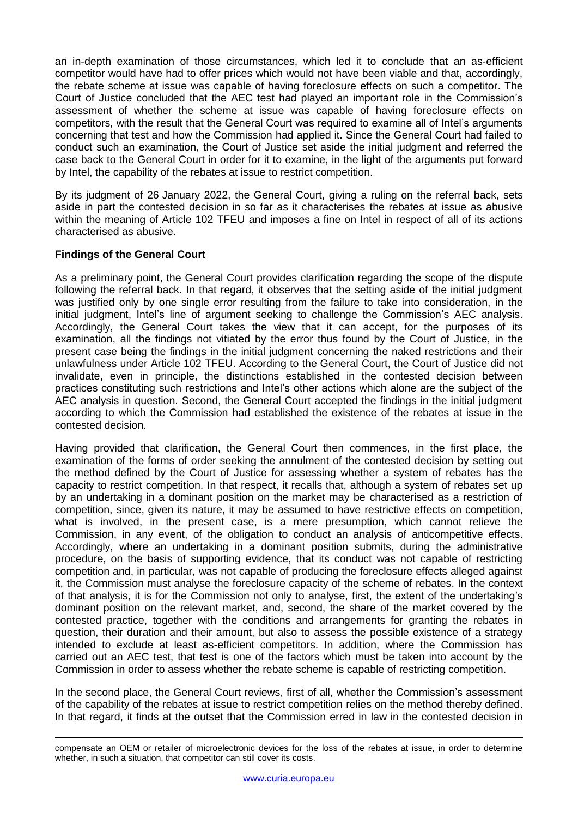an in-depth examination of those circumstances, which led it to conclude that an as-efficient competitor would have had to offer prices which would not have been viable and that, accordingly, the rebate scheme at issue was capable of having foreclosure effects on such a competitor. The Court of Justice concluded that the AEC test had played an important role in the Commission's assessment of whether the scheme at issue was capable of having foreclosure effects on competitors, with the result that the General Court was required to examine all of Intel's arguments concerning that test and how the Commission had applied it. Since the General Court had failed to conduct such an examination, the Court of Justice set aside the initial judgment and referred the case back to the General Court in order for it to examine, in the light of the arguments put forward by Intel, the capability of the rebates at issue to restrict competition.

By its judgment of 26 January 2022, the General Court, giving a ruling on the referral back, sets aside in part the contested decision in so far as it characterises the rebates at issue as abusive within the meaning of Article 102 TFEU and imposes a fine on Intel in respect of all of its actions characterised as abusive.

## **Findings of the General Court**

1

As a preliminary point, the General Court provides clarification regarding the scope of the dispute following the referral back. In that regard, it observes that the setting aside of the initial judgment was justified only by one single error resulting from the failure to take into consideration, in the initial judgment, Intel's line of argument seeking to challenge the Commission's AEC analysis. Accordingly, the General Court takes the view that it can accept, for the purposes of its examination, all the findings not vitiated by the error thus found by the Court of Justice, in the present case being the findings in the initial judgment concerning the naked restrictions and their unlawfulness under Article 102 TFEU. According to the General Court, the Court of Justice did not invalidate, even in principle, the distinctions established in the contested decision between practices constituting such restrictions and Intel's other actions which alone are the subject of the AEC analysis in question. Second, the General Court accepted the findings in the initial judgment according to which the Commission had established the existence of the rebates at issue in the contested decision.

Having provided that clarification, the General Court then commences, in the first place, the examination of the forms of order seeking the annulment of the contested decision by setting out the method defined by the Court of Justice for assessing whether a system of rebates has the capacity to restrict competition. In that respect, it recalls that, although a system of rebates set up by an undertaking in a dominant position on the market may be characterised as a restriction of competition, since, given its nature, it may be assumed to have restrictive effects on competition, what is involved, in the present case, is a mere presumption, which cannot relieve the Commission, in any event, of the obligation to conduct an analysis of anticompetitive effects. Accordingly, where an undertaking in a dominant position submits, during the administrative procedure, on the basis of supporting evidence, that its conduct was not capable of restricting competition and, in particular, was not capable of producing the foreclosure effects alleged against it, the Commission must analyse the foreclosure capacity of the scheme of rebates. In the context of that analysis, it is for the Commission not only to analyse, first, the extent of the undertaking's dominant position on the relevant market, and, second, the share of the market covered by the contested practice, together with the conditions and arrangements for granting the rebates in question, their duration and their amount, but also to assess the possible existence of a strategy intended to exclude at least as-efficient competitors. In addition, where the Commission has carried out an AEC test, that test is one of the factors which must be taken into account by the Commission in order to assess whether the rebate scheme is capable of restricting competition.

In the second place, the General Court reviews, first of all, whether the Commission's assessment of the capability of the rebates at issue to restrict competition relies on the method thereby defined. In that regard, it finds at the outset that the Commission erred in law in the contested decision in

compensate an OEM or retailer of microelectronic devices for the loss of the rebates at issue, in order to determine whether, in such a situation, that competitor can still cover its costs.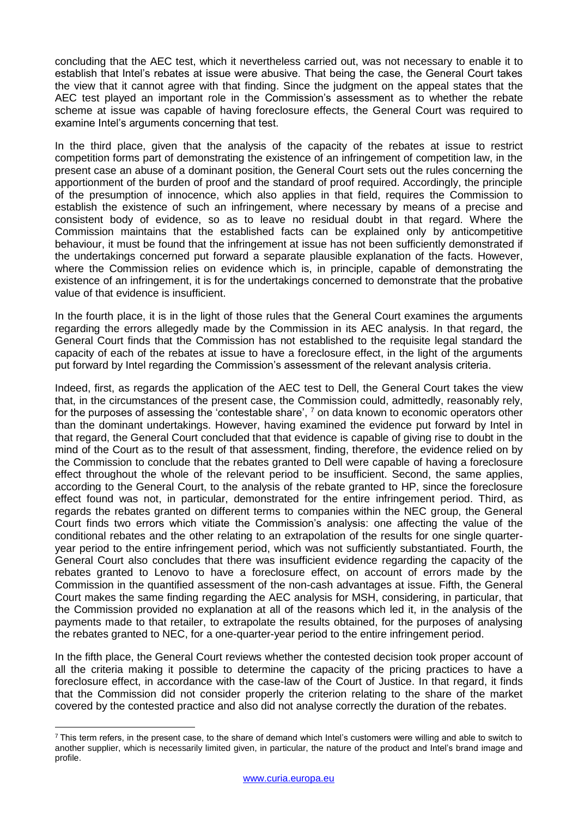concluding that the AEC test, which it nevertheless carried out, was not necessary to enable it to establish that Intel's rebates at issue were abusive. That being the case, the General Court takes the view that it cannot agree with that finding. Since the judgment on the appeal states that the AEC test played an important role in the Commission's assessment as to whether the rebate scheme at issue was capable of having foreclosure effects, the General Court was required to examine Intel's arguments concerning that test.

In the third place, given that the analysis of the capacity of the rebates at issue to restrict competition forms part of demonstrating the existence of an infringement of competition law, in the present case an abuse of a dominant position, the General Court sets out the rules concerning the apportionment of the burden of proof and the standard of proof required. Accordingly, the principle of the presumption of innocence, which also applies in that field, requires the Commission to establish the existence of such an infringement, where necessary by means of a precise and consistent body of evidence, so as to leave no residual doubt in that regard. Where the Commission maintains that the established facts can be explained only by anticompetitive behaviour, it must be found that the infringement at issue has not been sufficiently demonstrated if the undertakings concerned put forward a separate plausible explanation of the facts. However, where the Commission relies on evidence which is, in principle, capable of demonstrating the existence of an infringement, it is for the undertakings concerned to demonstrate that the probative value of that evidence is insufficient.

In the fourth place, it is in the light of those rules that the General Court examines the arguments regarding the errors allegedly made by the Commission in its AEC analysis. In that regard, the General Court finds that the Commission has not established to the requisite legal standard the capacity of each of the rebates at issue to have a foreclosure effect, in the light of the arguments put forward by Intel regarding the Commission's assessment of the relevant analysis criteria.

Indeed, first, as regards the application of the AEC test to Dell, the General Court takes the view that, in the circumstances of the present case, the Commission could, admittedly, reasonably rely, for the purposes of assessing the 'contestable share', <sup>7</sup> on data known to economic operators other than the dominant undertakings. However, having examined the evidence put forward by Intel in that regard, the General Court concluded that that evidence is capable of giving rise to doubt in the mind of the Court as to the result of that assessment, finding, therefore, the evidence relied on by the Commission to conclude that the rebates granted to Dell were capable of having a foreclosure effect throughout the whole of the relevant period to be insufficient. Second, the same applies, according to the General Court, to the analysis of the rebate granted to HP, since the foreclosure effect found was not, in particular, demonstrated for the entire infringement period. Third, as regards the rebates granted on different terms to companies within the NEC group, the General Court finds two errors which vitiate the Commission's analysis: one affecting the value of the conditional rebates and the other relating to an extrapolation of the results for one single quarteryear period to the entire infringement period, which was not sufficiently substantiated. Fourth, the General Court also concludes that there was insufficient evidence regarding the capacity of the rebates granted to Lenovo to have a foreclosure effect, on account of errors made by the Commission in the quantified assessment of the non-cash advantages at issue. Fifth, the General Court makes the same finding regarding the AEC analysis for MSH, considering, in particular, that the Commission provided no explanation at all of the reasons which led it, in the analysis of the payments made to that retailer, to extrapolate the results obtained, for the purposes of analysing the rebates granted to NEC, for a one-quarter-year period to the entire infringement period.

In the fifth place, the General Court reviews whether the contested decision took proper account of all the criteria making it possible to determine the capacity of the pricing practices to have a foreclosure effect, in accordance with the case-law of the Court of Justice. In that regard, it finds that the Commission did not consider properly the criterion relating to the share of the market covered by the contested practice and also did not analyse correctly the duration of the rebates.

<sup>1</sup> <sup>7</sup> This term refers, in the present case, to the share of demand which Intel's customers were willing and able to switch to another supplier, which is necessarily limited given, in particular, the nature of the product and Intel's brand image and profile.